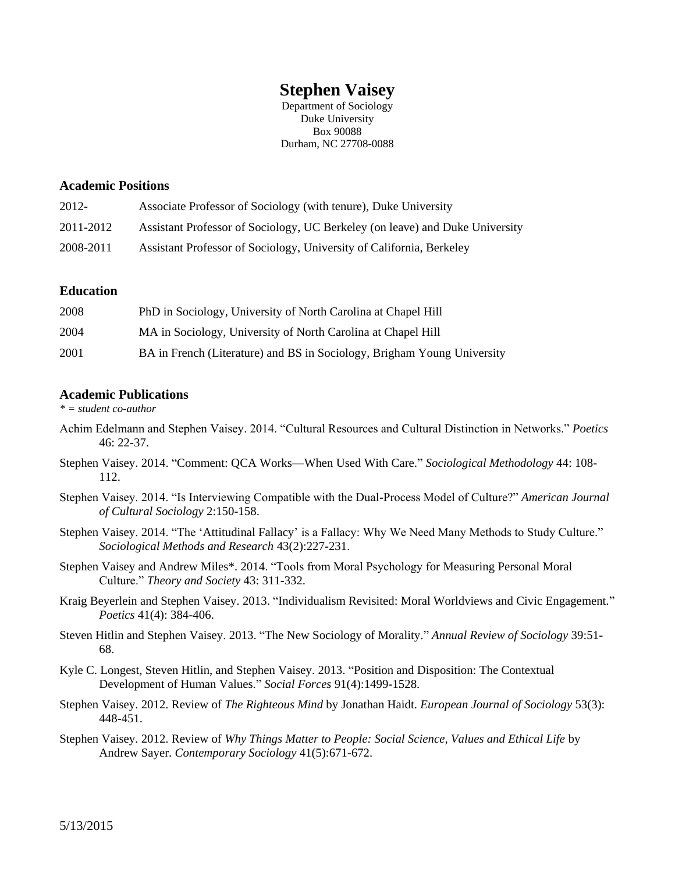# **Stephen Vaisey**

Department of Sociology Duke University Box 90088 Durham, NC 27708-0088

## **Academic Positions**

| $2012 -$  | Associate Professor of Sociology (with tenure), Duke University              |
|-----------|------------------------------------------------------------------------------|
| 2011-2012 | Assistant Professor of Sociology, UC Berkeley (on leave) and Duke University |
| 2008-2011 | Assistant Professor of Sociology, University of California, Berkeley         |

## **Education**

| 2008 | PhD in Sociology, University of North Carolina at Chapel Hill           |
|------|-------------------------------------------------------------------------|
| 2004 | MA in Sociology, University of North Carolina at Chapel Hill            |
| 2001 | BA in French (Literature) and BS in Sociology, Brigham Young University |

# **Academic Publications**

*\* = student co-author*

- Achim Edelmann and Stephen Vaisey. 2014. "Cultural Resources and Cultural Distinction in Networks." *Poetics* 46: 22-37.
- Stephen Vaisey. 2014. "Comment: QCA Works—When Used With Care." *Sociological Methodology* 44: 108- 112.
- Stephen Vaisey. 2014. "Is Interviewing Compatible with the Dual-Process Model of Culture?" *American Journal of Cultural Sociology* 2:150-158.
- Stephen Vaisey. 2014. "The 'Attitudinal Fallacy' is a Fallacy: Why We Need Many Methods to Study Culture." *Sociological Methods and Research* 43(2):227-231.
- Stephen Vaisey and Andrew Miles\*. 2014. "Tools from Moral Psychology for Measuring Personal Moral Culture." *Theory and Society* 43: 311-332.
- Kraig Beyerlein and Stephen Vaisey. 2013. "Individualism Revisited: Moral Worldviews and Civic Engagement." *Poetics* 41(4): 384-406.
- Steven Hitlin and Stephen Vaisey. 2013. "The New Sociology of Morality." *Annual Review of Sociology* 39:51- 68.
- Kyle C. Longest, Steven Hitlin, and Stephen Vaisey. 2013. "Position and Disposition: The Contextual Development of Human Values." *Social Forces* 91(4):1499-1528.
- Stephen Vaisey. 2012. Review of *The Righteous Mind* by Jonathan Haidt. *European Journal of Sociology* 53(3): 448-451.
- Stephen Vaisey. 2012. Review of *Why Things Matter to People: Social Science, Values and Ethical Life* by Andrew Sayer. *Contemporary Sociology* 41(5):671-672.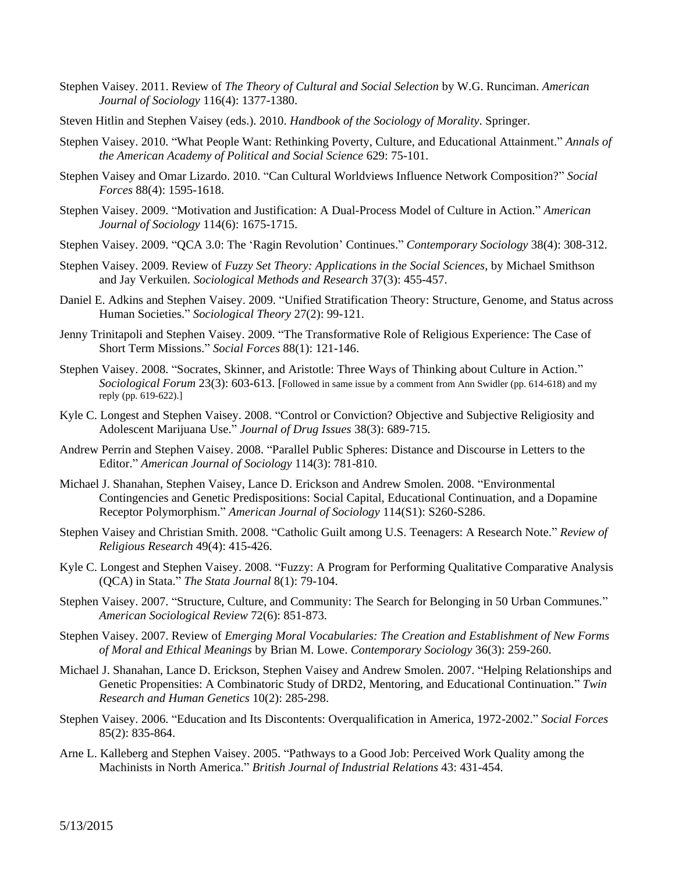- Stephen Vaisey. 2011. Review of *The Theory of Cultural and Social Selection* by W.G. Runciman. *American Journal of Sociology* 116(4): 1377-1380.
- Steven Hitlin and Stephen Vaisey (eds.). 2010. *Handbook of the Sociology of Morality*. Springer.
- Stephen Vaisey. 2010. "What People Want: Rethinking Poverty, Culture, and Educational Attainment." *Annals of the American Academy of Political and Social Science* 629: 75-101.
- Stephen Vaisey and Omar Lizardo. 2010. "Can Cultural Worldviews Influence Network Composition?" *Social Forces* 88(4): 1595-1618.
- Stephen Vaisey. 2009. "Motivation and Justification: A Dual-Process Model of Culture in Action." *American Journal of Sociology* 114(6): 1675-1715.
- Stephen Vaisey. 2009. "QCA 3.0: The 'Ragin Revolution' Continues." *Contemporary Sociology* 38(4): 308-312.
- Stephen Vaisey. 2009. Review of *Fuzzy Set Theory: Applications in the Social Sciences*, by Michael Smithson and Jay Verkuilen. *Sociological Methods and Research* 37(3): 455-457.
- Daniel E. Adkins and Stephen Vaisey. 2009. "Unified Stratification Theory: Structure, Genome, and Status across Human Societies." *Sociological Theory* 27(2): 99-121.
- Jenny Trinitapoli and Stephen Vaisey. 2009. "The Transformative Role of Religious Experience: The Case of Short Term Missions." *Social Forces* 88(1): 121-146.
- Stephen Vaisey. 2008. "Socrates, Skinner, and Aristotle: Three Ways of Thinking about Culture in Action." *Sociological Forum* 23(3): 603-613. [Followed in same issue by a comment from Ann Swidler (pp. 614-618) and my reply (pp. 619-622).]
- Kyle C. Longest and Stephen Vaisey. 2008. "Control or Conviction? Objective and Subjective Religiosity and Adolescent Marijuana Use." *Journal of Drug Issues* 38(3): 689-715.
- Andrew Perrin and Stephen Vaisey. 2008. "Parallel Public Spheres: Distance and Discourse in Letters to the Editor." *American Journal of Sociology* 114(3): 781-810.
- Michael J. Shanahan, Stephen Vaisey, Lance D. Erickson and Andrew Smolen. 2008. "Environmental Contingencies and Genetic Predispositions: Social Capital, Educational Continuation, and a Dopamine Receptor Polymorphism." *American Journal of Sociology* 114(S1): S260-S286.
- Stephen Vaisey and Christian Smith. 2008. "Catholic Guilt among U.S. Teenagers: A Research Note." *Review of Religious Research* 49(4): 415-426.
- Kyle C. Longest and Stephen Vaisey. 2008. "Fuzzy: A Program for Performing Qualitative Comparative Analysis (QCA) in Stata." *The Stata Journal* 8(1): 79-104.
- Stephen Vaisey. 2007. "Structure, Culture, and Community: The Search for Belonging in 50 Urban Communes." *American Sociological Review* 72(6): 851-873.
- Stephen Vaisey. 2007. Review of *Emerging Moral Vocabularies: The Creation and Establishment of New Forms of Moral and Ethical Meanings* by Brian M. Lowe. *Contemporary Sociology* 36(3): 259-260.
- Michael J. Shanahan, Lance D. Erickson, Stephen Vaisey and Andrew Smolen. 2007. "Helping Relationships and Genetic Propensities: A Combinatoric Study of DRD2, Mentoring, and Educational Continuation." *Twin Research and Human Genetics* 10(2): 285-298.
- Stephen Vaisey. 2006. "Education and Its Discontents: Overqualification in America, 1972-2002." *Social Forces* 85(2): 835-864.
- Arne L. Kalleberg and Stephen Vaisey. 2005. "Pathways to a Good Job: Perceived Work Quality among the Machinists in North America." *British Journal of Industrial Relations* 43: 431-454.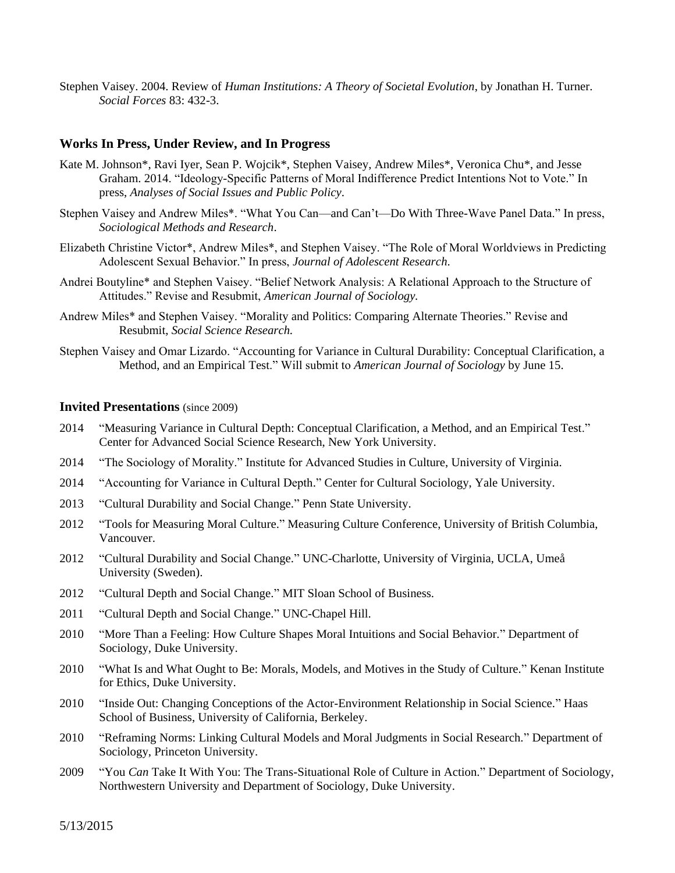Stephen Vaisey. 2004. Review of *Human Institutions: A Theory of Societal Evolution*, by Jonathan H. Turner. *Social Forces* 83: 432-3.

#### **Works In Press, Under Review, and In Progress**

- Kate M. Johnson\*, Ravi Iyer, Sean P. Wojcik\*, Stephen Vaisey, Andrew Miles\*, Veronica Chu\*, and Jesse Graham. 2014. "Ideology-Specific Patterns of Moral Indifference Predict Intentions Not to Vote." In press, *Analyses of Social Issues and Public Policy*.
- Stephen Vaisey and Andrew Miles\*. "What You Can—and Can't—Do With Three-Wave Panel Data." In press, *Sociological Methods and Research*.
- Elizabeth Christine Victor\*, Andrew Miles\*, and Stephen Vaisey. "The Role of Moral Worldviews in Predicting Adolescent Sexual Behavior." In press, *Journal of Adolescent Research*.
- Andrei Boutyline\* and Stephen Vaisey. "Belief Network Analysis: A Relational Approach to the Structure of Attitudes." Revise and Resubmit, *American Journal of Sociology.*
- Andrew Miles\* and Stephen Vaisey. "Morality and Politics: Comparing Alternate Theories." Revise and Resubmit, *Social Science Research.*
- Stephen Vaisey and Omar Lizardo. "Accounting for Variance in Cultural Durability: Conceptual Clarification, a Method, and an Empirical Test." Will submit to *American Journal of Sociology* by June 15.

### **Invited Presentations** (since 2009)

- 2014 "Measuring Variance in Cultural Depth: Conceptual Clarification, a Method, and an Empirical Test." Center for Advanced Social Science Research, New York University.
- 2014 "The Sociology of Morality." Institute for Advanced Studies in Culture, University of Virginia.
- 2014 "Accounting for Variance in Cultural Depth." Center for Cultural Sociology, Yale University.
- 2013 "Cultural Durability and Social Change." Penn State University.
- 2012 "Tools for Measuring Moral Culture." Measuring Culture Conference, University of British Columbia, Vancouver.
- 2012 "Cultural Durability and Social Change." UNC-Charlotte, University of Virginia, UCLA, Umeå University (Sweden).
- 2012 "Cultural Depth and Social Change." MIT Sloan School of Business.
- 2011 "Cultural Depth and Social Change." UNC-Chapel Hill.
- 2010 "More Than a Feeling: How Culture Shapes Moral Intuitions and Social Behavior." Department of Sociology, Duke University.
- 2010 "What Is and What Ought to Be: Morals, Models, and Motives in the Study of Culture." Kenan Institute for Ethics, Duke University.
- 2010 "Inside Out: Changing Conceptions of the Actor-Environment Relationship in Social Science." Haas School of Business, University of California, Berkeley.
- 2010 "Reframing Norms: Linking Cultural Models and Moral Judgments in Social Research." Department of Sociology, Princeton University.
- 2009 "You *Can* Take It With You: The Trans-Situational Role of Culture in Action." Department of Sociology, Northwestern University and Department of Sociology, Duke University.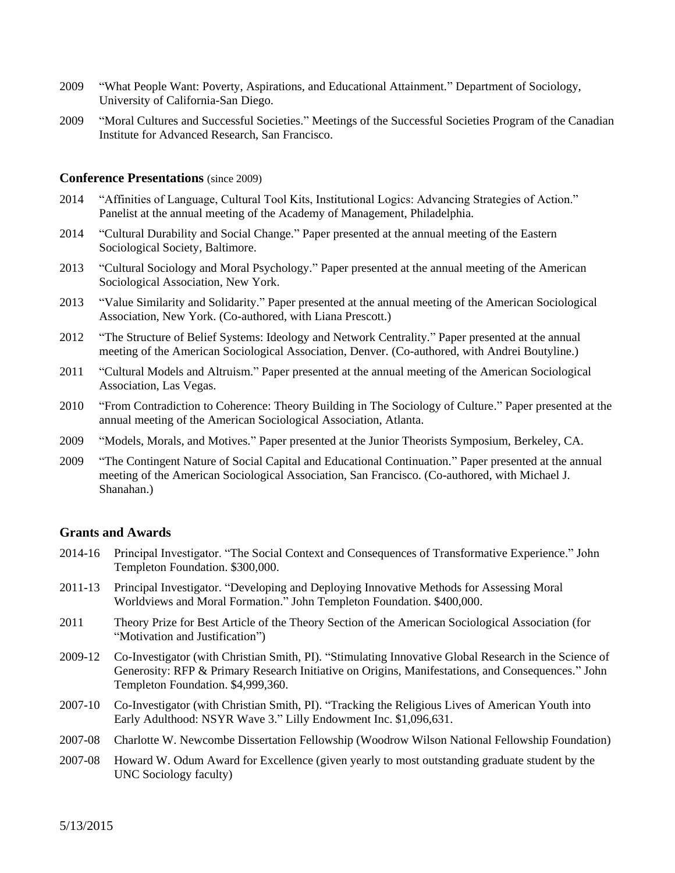- 2009 "What People Want: Poverty, Aspirations, and Educational Attainment." Department of Sociology, University of California-San Diego.
- 2009 "Moral Cultures and Successful Societies." Meetings of the Successful Societies Program of the Canadian Institute for Advanced Research, San Francisco.

## **Conference Presentations** (since 2009)

- 2014 "Affinities of Language, Cultural Tool Kits, Institutional Logics: Advancing Strategies of Action." Panelist at the annual meeting of the Academy of Management, Philadelphia.
- 2014 "Cultural Durability and Social Change." Paper presented at the annual meeting of the Eastern Sociological Society, Baltimore.
- 2013 "Cultural Sociology and Moral Psychology." Paper presented at the annual meeting of the American Sociological Association, New York.
- 2013 "Value Similarity and Solidarity." Paper presented at the annual meeting of the American Sociological Association, New York. (Co-authored, with Liana Prescott.)
- 2012 "The Structure of Belief Systems: Ideology and Network Centrality." Paper presented at the annual meeting of the American Sociological Association, Denver. (Co-authored, with Andrei Boutyline.)
- 2011 "Cultural Models and Altruism." Paper presented at the annual meeting of the American Sociological Association, Las Vegas.
- 2010 "From Contradiction to Coherence: Theory Building in The Sociology of Culture." Paper presented at the annual meeting of the American Sociological Association, Atlanta.
- 2009 "Models, Morals, and Motives." Paper presented at the Junior Theorists Symposium, Berkeley, CA.
- 2009 "The Contingent Nature of Social Capital and Educational Continuation." Paper presented at the annual meeting of the American Sociological Association, San Francisco. (Co-authored, with Michael J. Shanahan.)

#### **Grants and Awards**

- 2014-16 Principal Investigator. "The Social Context and Consequences of Transformative Experience." John Templeton Foundation. \$300,000.
- 2011-13 Principal Investigator. "Developing and Deploying Innovative Methods for Assessing Moral Worldviews and Moral Formation." John Templeton Foundation. \$400,000.
- 2011 Theory Prize for Best Article of the Theory Section of the American Sociological Association (for "Motivation and Justification")
- 2009-12 Co-Investigator (with Christian Smith, PI). "Stimulating Innovative Global Research in the Science of Generosity: RFP & Primary Research Initiative on Origins, Manifestations, and Consequences." John Templeton Foundation. \$4,999,360.
- 2007-10 Co-Investigator (with Christian Smith, PI). "Tracking the Religious Lives of American Youth into Early Adulthood: NSYR Wave 3." Lilly Endowment Inc. \$1,096,631.
- 2007-08 Charlotte W. Newcombe Dissertation Fellowship (Woodrow Wilson National Fellowship Foundation)
- 2007-08 Howard W. Odum Award for Excellence (given yearly to most outstanding graduate student by the UNC Sociology faculty)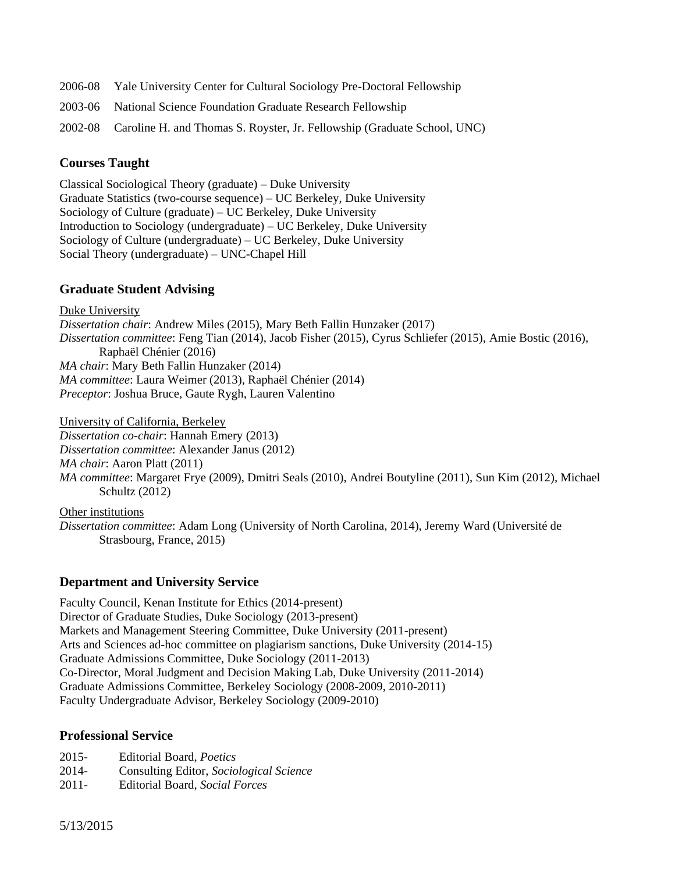- 2006-08 Yale University Center for Cultural Sociology Pre-Doctoral Fellowship
- 2003-06 National Science Foundation Graduate Research Fellowship
- 2002-08 Caroline H. and Thomas S. Royster, Jr. Fellowship (Graduate School, UNC)

# **Courses Taught**

Classical Sociological Theory (graduate) – Duke University Graduate Statistics (two-course sequence) – UC Berkeley, Duke University Sociology of Culture (graduate) – UC Berkeley, Duke University Introduction to Sociology (undergraduate) – UC Berkeley, Duke University Sociology of Culture (undergraduate) – UC Berkeley, Duke University Social Theory (undergraduate) – UNC-Chapel Hill

# **Graduate Student Advising**

Duke University *Dissertation chair*: Andrew Miles (2015), Mary Beth Fallin Hunzaker (2017) *Dissertation committee*: Feng Tian (2014), Jacob Fisher (2015), Cyrus Schliefer (2015), Amie Bostic (2016), Raphaël Chénier (2016) *MA chair*: Mary Beth Fallin Hunzaker (2014) *MA committee*: Laura Weimer (2013), Raphaël Chénier (2014) *Preceptor*: Joshua Bruce, Gaute Rygh, Lauren Valentino

University of California, Berkeley

*Dissertation co-chair*: Hannah Emery (2013)

*Dissertation committee*: Alexander Janus (2012)

*MA chair*: Aaron Platt (2011)

*MA committee*: Margaret Frye (2009), Dmitri Seals (2010), Andrei Boutyline (2011), Sun Kim (2012), Michael Schultz (2012)

Other institutions

*Dissertation committee*: Adam Long (University of North Carolina, 2014), Jeremy Ward (Université de Strasbourg, France, 2015)

# **Department and University Service**

Faculty Council, Kenan Institute for Ethics (2014-present) Director of Graduate Studies, Duke Sociology (2013-present) Markets and Management Steering Committee, Duke University (2011-present) Arts and Sciences ad-hoc committee on plagiarism sanctions, Duke University (2014-15) Graduate Admissions Committee, Duke Sociology (2011-2013) Co-Director, Moral Judgment and Decision Making Lab, Duke University (2011-2014) Graduate Admissions Committee, Berkeley Sociology (2008-2009, 2010-2011) Faculty Undergraduate Advisor, Berkeley Sociology (2009-2010)

# **Professional Service**

- 2015- Editorial Board, *Poetics*
- 2014- Consulting Editor, *Sociological Science*
- 2011- Editorial Board, *Social Forces*